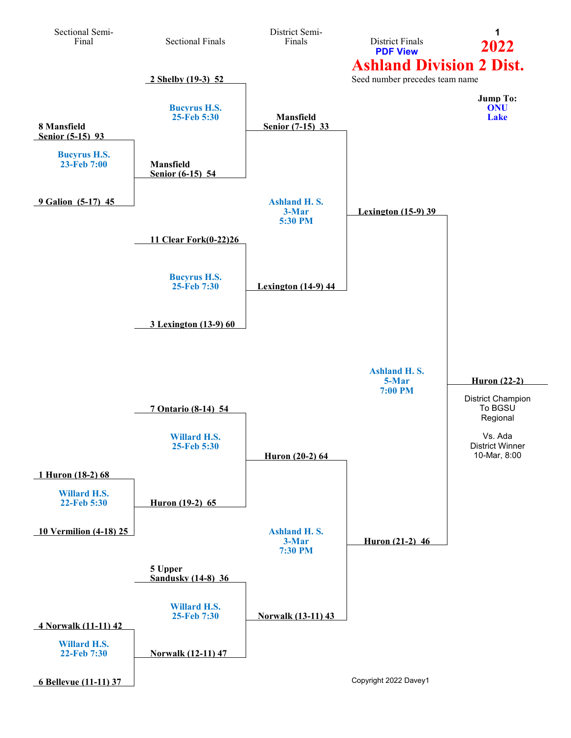<span id="page-0-0"></span>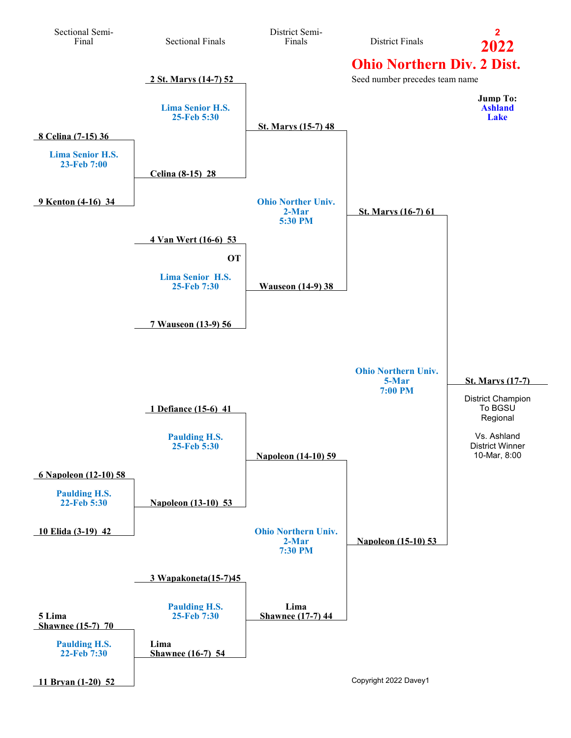<span id="page-1-0"></span>